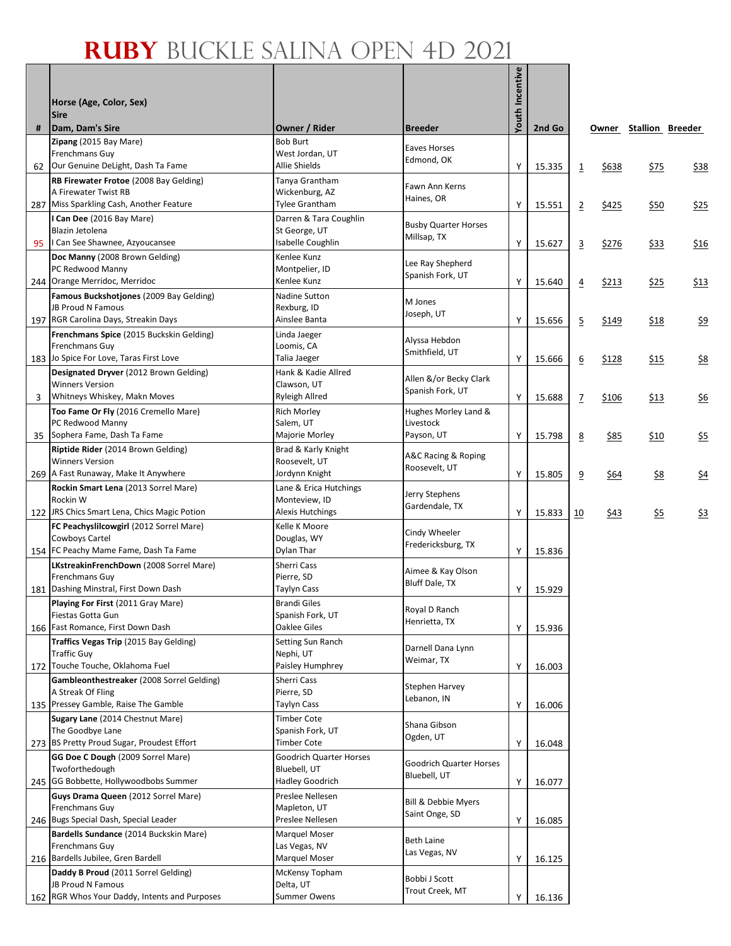## **Ruby** Buckle Salina Open 4D 2021

|    | Horse (Age, Color, Sex)<br><b>Sire</b>                                   |                                          |                                       | Youth Incentive |        |                |       |             |                        |
|----|--------------------------------------------------------------------------|------------------------------------------|---------------------------------------|-----------------|--------|----------------|-------|-------------|------------------------|
| #  | Dam, Dam's Sire                                                          | Owner / Rider                            | Breeder                               |                 | 2nd Go |                |       |             | Owner Stallion Breeder |
|    | Zipang (2015 Bay Mare)                                                   | <b>Bob Burt</b>                          | <b>Eaves Horses</b>                   |                 |        |                |       |             |                        |
|    | Frenchmans Guy<br>62 Our Genuine DeLight, Dash Ta Fame                   | West Jordan, UT<br>Allie Shields         | Edmond, OK                            |                 |        |                |       |             |                        |
|    | RB Firewater Frotoe (2008 Bay Gelding)                                   | Tanya Grantham                           |                                       | Υ               | 15.335 | $\overline{1}$ | \$638 | \$75        | \$38                   |
|    | A Firewater Twist RB                                                     | Wickenburg, AZ                           | Fawn Ann Kerns                        |                 |        |                |       |             |                        |
|    | 287 Miss Sparkling Cash, Another Feature                                 | <b>Tylee Grantham</b>                    | Haines, OR                            | Υ               | 15.551 | $\overline{2}$ | \$425 | \$50        | \$25                   |
|    | I Can Dee (2016 Bay Mare)                                                | Darren & Tara Coughlin                   | <b>Busby Quarter Horses</b>           |                 |        |                |       |             |                        |
| 95 | Blazin Jetolena<br>I Can See Shawnee, Azyoucansee                        | St George, UT<br>Isabelle Coughlin       | Millsap, TX                           | Υ               | 15.627 | $\overline{3}$ | \$276 | <u>\$33</u> | \$16                   |
|    | Doc Manny (2008 Brown Gelding)                                           | Kenlee Kunz                              |                                       |                 |        |                |       |             |                        |
|    | PC Redwood Manny                                                         | Montpelier, ID                           | Lee Ray Shepherd<br>Spanish Fork, UT  |                 |        |                |       |             |                        |
|    | 244 Orange Merridoc, Merridoc                                            | Kenlee Kunz                              |                                       | Υ               | 15.640 | $\overline{4}$ | \$213 | \$25        | \$13                   |
|    | Famous Buckshotjones (2009 Bay Gelding)<br><b>JB Proud N Famous</b>      | Nadine Sutton<br>Rexburg, ID             | M Jones                               |                 |        |                |       |             |                        |
|    | 197 RGR Carolina Days, Streakin Days                                     | Ainslee Banta                            | Joseph, UT                            | Υ               | 15.656 | $\overline{5}$ | \$149 | <u>\$18</u> | \$9                    |
|    | Frenchmans Spice (2015 Buckskin Gelding)                                 | Linda Jaeger                             |                                       |                 |        |                |       |             |                        |
|    | Frenchmans Guy                                                           | Loomis, CA                               | Alyssa Hebdon<br>Smithfield, UT       |                 |        |                |       |             |                        |
|    | 183 Jo Spice For Love, Taras First Love                                  | Talia Jaeger                             |                                       | Υ               | 15.666 | 6              | \$128 | \$15        | <u>\$8</u>             |
|    | Designated Dryver (2012 Brown Gelding)<br><b>Winners Version</b>         | Hank & Kadie Allred<br>Clawson, UT       | Allen &/or Becky Clark                |                 |        |                |       |             |                        |
| 3  | Whitneys Whiskey, Makn Moves                                             | <b>Ryleigh Allred</b>                    | Spanish Fork, UT                      | Y               | 15.688 | $\overline{1}$ | \$106 | 513         | $\frac{6}{56}$         |
|    | Too Fame Or Fly (2016 Cremello Mare)                                     | <b>Rich Morley</b>                       | Hughes Morley Land &                  |                 |        |                |       |             |                        |
|    | PC Redwood Manny                                                         | Salem, UT                                | Livestock                             |                 |        |                |       |             |                        |
|    | 35 Sophera Fame, Dash Ta Fame                                            | Majorie Morley                           | Payson, UT                            | Υ               | 15.798 | 8              | \$85  | \$10        | <u>\$5</u>             |
|    | Riptide Rider (2014 Brown Gelding)<br><b>Winners Version</b>             | Brad & Karly Knight<br>Roosevelt, UT     | A&C Racing & Roping                   |                 |        |                |       |             |                        |
|    | 269 A Fast Runaway, Make It Anywhere                                     | Jordynn Knight                           | Roosevelt, UT                         | Υ               | 15.805 | 9              | \$64  | \$8         | \$4                    |
|    | Rockin Smart Lena (2013 Sorrel Mare)                                     | Lane & Erica Hutchings                   | Jerry Stephens                        |                 |        |                |       |             |                        |
|    | Rockin W<br>122 JRS Chics Smart Lena, Chics Magic Potion                 | Monteview, ID<br><b>Alexis Hutchings</b> | Gardendale, TX                        |                 |        |                |       |             |                        |
|    | FC Peachyslilcowgirl (2012 Sorrel Mare)                                  | Kelle K Moore                            |                                       | Υ               | 15.833 | 10             | \$43  | \$5         | $\frac{53}{2}$         |
|    | Cowboys Cartel                                                           | Douglas, WY                              | Cindy Wheeler                         |                 |        |                |       |             |                        |
|    | 154 FC Peachy Mame Fame, Dash Ta Fame                                    | Dylan Thar                               | Fredericksburg, TX                    | Y               | 15.836 |                |       |             |                        |
|    | LKstreakinFrenchDown (2008 Sorrel Mare)                                  | Sherri Cass                              | Aimee & Kay Olson                     |                 |        |                |       |             |                        |
|    | <b>Frenchmans Guy</b><br>181 Dashing Minstral, First Down Dash           | Pierre, SD<br>Taylyn Cass                | Bluff Dale, TX                        | Υ               | 15.929 |                |       |             |                        |
|    | Playing For First (2011 Gray Mare)                                       | <b>Brandi Giles</b>                      |                                       |                 |        |                |       |             |                        |
|    | Fiestas Gotta Gun                                                        | Spanish Fork, UT                         | Royal D Ranch<br>Henrietta, TX        |                 |        |                |       |             |                        |
|    | 166 Fast Romance, First Down Dash                                        | Oaklee Giles                             |                                       | Υ               | 15.936 |                |       |             |                        |
|    | Traffics Vegas Trip (2015 Bay Gelding)<br><b>Traffic Guy</b>             | Setting Sun Ranch<br>Nephi, UT           | Darnell Dana Lynn                     |                 |        |                |       |             |                        |
|    | 172 Touche Touche, Oklahoma Fuel                                         | Paisley Humphrey                         | Weimar, TX                            | Y               | 16.003 |                |       |             |                        |
|    | Gambleonthestreaker (2008 Sorrel Gelding)                                | Sherri Cass                              | <b>Stephen Harvey</b>                 |                 |        |                |       |             |                        |
|    | A Streak Of Fling                                                        | Pierre, SD                               | Lebanon, IN                           |                 |        |                |       |             |                        |
|    | 135 Pressey Gamble, Raise The Gamble<br>Sugary Lane (2014 Chestnut Mare) | Taylyn Cass<br><b>Timber Cote</b>        |                                       | Υ               | 16.006 |                |       |             |                        |
|    | The Goodbye Lane                                                         | Spanish Fork, UT                         | Shana Gibson                          |                 |        |                |       |             |                        |
|    | 273 BS Pretty Proud Sugar, Proudest Effort                               | Timber Cote                              | Ogden, UT                             | Υ               | 16.048 |                |       |             |                        |
|    | GG Doe C Dough (2009 Sorrel Mare)                                        | <b>Goodrich Quarter Horses</b>           | Goodrich Quarter Horses               |                 |        |                |       |             |                        |
|    | Twoforthedough<br>245 GG Bobbette, Hollywoodbobs Summer                  | Bluebell, UT<br><b>Hadley Goodrich</b>   | Bluebell, UT                          | Υ               | 16.077 |                |       |             |                        |
|    | Guys Drama Queen (2012 Sorrel Mare)                                      | Preslee Nellesen                         |                                       |                 |        |                |       |             |                        |
|    | Frenchmans Guy                                                           | Mapleton, UT                             | Bill & Debbie Myers<br>Saint Onge, SD |                 |        |                |       |             |                        |
|    | 246 Bugs Special Dash, Special Leader                                    | Preslee Nellesen                         |                                       | Υ               | 16.085 |                |       |             |                        |
|    | Bardells Sundance (2014 Buckskin Mare)                                   | <b>Marquel Moser</b>                     | <b>Beth Laine</b>                     |                 |        |                |       |             |                        |
|    | Frenchmans Guy<br>216 Bardells Jubilee, Gren Bardell                     | Las Vegas, NV<br><b>Marquel Moser</b>    | Las Vegas, NV                         | Y               | 16.125 |                |       |             |                        |
|    | Daddy B Proud (2011 Sorrel Gelding)                                      | McKensy Topham                           |                                       |                 |        |                |       |             |                        |
|    | JB Proud N Famous                                                        | Delta, UT                                | Bobbi J Scott<br>Trout Creek, MT      |                 |        |                |       |             |                        |
|    | 162 RGR Whos Your Daddy, Intents and Purposes                            | Summer Owens                             |                                       | Y               | 16.136 |                |       |             |                        |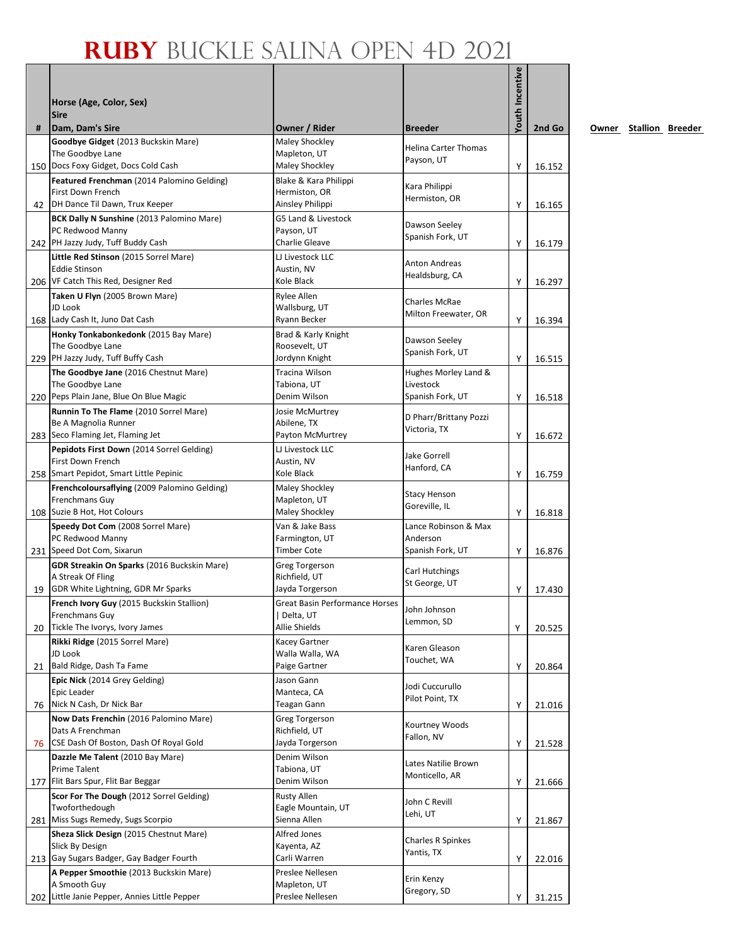## **Ruby** Buckle Salina Open 4D 2021

|     | Horse (Age, Color, Sex)<br><b>Sire</b>                                                          |                                                         |                                           | <b>/outh Incentive</b> |        |
|-----|-------------------------------------------------------------------------------------------------|---------------------------------------------------------|-------------------------------------------|------------------------|--------|
| #   | Dam, Dam's Sire                                                                                 | Owner / Rider                                           | <b>Breeder</b>                            |                        | 2nd Go |
|     | Goodbye Gidget (2013 Buckskin Mare)<br>The Goodbye Lane<br>150 Docs Foxy Gidget, Docs Cold Cash | Maley Shockley<br>Mapleton, UT<br><b>Maley Shockley</b> | <b>Helina Carter Thomas</b><br>Payson, UT | Y                      | 16.152 |
|     | Featured Frenchman (2014 Palomino Gelding)                                                      | Blake & Kara Philippi                                   |                                           |                        |        |
| 42  | First Down French<br>DH Dance Til Dawn, Trux Keeper                                             | Hermiston, OR<br>Ainsley Philippi                       | Kara Philippi<br>Hermiston, OR            | Y                      | 16.165 |
|     | BCK Dally N Sunshine (2013 Palomino Mare)                                                       | G5 Land & Livestock                                     |                                           |                        |        |
|     | PC Redwood Manny                                                                                | Payson, UT                                              | Dawson Seeley<br>Spanish Fork, UT         |                        |        |
|     | 242 PH Jazzy Judy, Tuff Buddy Cash                                                              | Charlie Gleave                                          |                                           | Υ                      | 16.179 |
|     | Little Red Stinson (2015 Sorrel Mare)                                                           | LJ Livestock LLC                                        | <b>Anton Andreas</b>                      |                        |        |
|     | <b>Eddie Stinson</b>                                                                            | Austin, NV                                              | Healdsburg, CA                            |                        |        |
|     | 206 VF Catch This Red, Designer Red                                                             | Kole Black                                              |                                           | Υ                      | 16.297 |
|     | Taken U Flyn (2005 Brown Mare)<br>JD Look                                                       | Rylee Allen<br>Wallsburg, UT                            | <b>Charles McRae</b>                      |                        |        |
|     | 168 Lady Cash It, Juno Dat Cash                                                                 | Ryann Becker                                            | Milton Freewater, OR                      | Y                      | 16.394 |
|     | Honky Tonkabonkedonk (2015 Bay Mare)                                                            | Brad & Karly Knight                                     |                                           |                        |        |
|     | The Goodbye Lane                                                                                | Roosevelt, UT                                           | Dawson Seeley                             |                        |        |
|     | 229 PH Jazzy Judy, Tuff Buffy Cash                                                              | Jordynn Knight                                          | Spanish Fork, UT                          | Υ                      | 16.515 |
|     | The Goodbye Jane (2016 Chestnut Mare)                                                           | Tracina Wilson                                          | Hughes Morley Land &                      |                        |        |
|     | The Goodbye Lane                                                                                | Tabiona, UT                                             | Livestock                                 |                        |        |
|     | 220 Peps Plain Jane, Blue On Blue Magic                                                         | Denim Wilson                                            | Spanish Fork, UT                          | Υ                      | 16.518 |
|     | Runnin To The Flame (2010 Sorrel Mare)                                                          | Josie McMurtrey                                         | D Pharr/Brittany Pozzi                    |                        |        |
|     | Be A Magnolia Runner                                                                            | Abilene, TX                                             | Victoria, TX                              |                        |        |
|     | 283 Seco Flaming Jet, Flaming Jet                                                               | Payton McMurtrey                                        |                                           | Υ                      | 16.672 |
|     | Pepidots First Down (2014 Sorrel Gelding)                                                       | LJ Livestock LLC                                        | Jake Gorrell                              |                        |        |
|     | First Down French<br>258 Smart Pepidot, Smart Little Pepinic                                    | Austin, NV<br>Kole Black                                | Hanford, CA                               | Υ                      |        |
|     | Frenchcoloursaflying (2009 Palomino Gelding)                                                    | Maley Shockley                                          |                                           |                        | 16.759 |
|     | Frenchmans Guy                                                                                  | Mapleton, UT                                            | <b>Stacy Henson</b>                       |                        |        |
|     | 108 Suzie B Hot, Hot Colours                                                                    | Maley Shockley                                          | Goreville, IL                             | Υ                      | 16.818 |
|     | Speedy Dot Com (2008 Sorrel Mare)                                                               | Van & Jake Bass                                         | Lance Robinson & Max                      |                        |        |
|     | PC Redwood Manny                                                                                | Farmington, UT                                          | Anderson                                  |                        |        |
|     | 231 Speed Dot Com, Sixarun                                                                      | <b>Timber Cote</b>                                      | Spanish Fork, UT                          | Υ                      | 16.876 |
|     | GDR Streakin On Sparks (2016 Buckskin Mare)                                                     | Greg Torgerson                                          | <b>Carl Hutchings</b>                     |                        |        |
|     | A Streak Of Fling                                                                               | Richfield, UT                                           | St George, UT                             |                        |        |
| 19  | GDR White Lightning, GDR Mr Sparks                                                              | Jayda Torgerson                                         |                                           | Y                      | 17.430 |
|     | <b>French Ivory Guy</b> (2015 Buckskin Stallion)                                                | Great Basin Performance Horses                          | John Johnson                              |                        |        |
| 20  | Frenchmans Guy<br>Tickle The Ivorys, Ivory James                                                | Delta, UT<br><b>Allie Shields</b>                       | Lemmon, SD                                | Υ                      | 20.525 |
|     | Rikki Ridge (2015 Sorrel Mare)                                                                  | Kacey Gartner                                           |                                           |                        |        |
|     | JD Look                                                                                         | Walla Walla, WA                                         | Karen Gleason                             |                        |        |
| 21  | Bald Ridge, Dash Ta Fame                                                                        | Paige Gartner                                           | Touchet, WA                               | Υ                      | 20.864 |
|     | Epic Nick (2014 Grey Gelding)                                                                   | Jason Gann                                              |                                           |                        |        |
|     | Epic Leader                                                                                     | Manteca, CA                                             | Jodi Cuccurullo<br>Pilot Point, TX        |                        |        |
| 76  | Nick N Cash, Dr Nick Bar                                                                        | <b>Teagan Gann</b>                                      |                                           | Υ                      | 21.016 |
|     | Now Dats Frenchin (2016 Palomino Mare)                                                          | Greg Torgerson                                          | Kourtney Woods                            |                        |        |
|     | Dats A Frenchman                                                                                | Richfield, UT                                           | Fallon, NV                                |                        |        |
| 76  | CSE Dash Of Boston, Dash Of Royal Gold                                                          | Jayda Torgerson                                         |                                           | Υ                      | 21.528 |
|     | Dazzle Me Talent (2010 Bay Mare)<br><b>Prime Talent</b>                                         | Denim Wilson<br>Tabiona, UT                             | Lates Natilie Brown                       |                        |        |
| 177 | Flit Bars Spur, Flit Bar Beggar                                                                 | Denim Wilson                                            | Monticello, AR                            | Υ                      | 21.666 |
|     | Scor For The Dough (2012 Sorrel Gelding)                                                        | <b>Rusty Allen</b>                                      |                                           |                        |        |
|     | Twoforthedough                                                                                  | Eagle Mountain, UT                                      | John C Revill                             |                        |        |
| 281 | Miss Sugs Remedy, Sugs Scorpio                                                                  | Sienna Allen                                            | Lehi, UT                                  | Υ                      | 21.867 |
|     | Sheza Slick Design (2015 Chestnut Mare)                                                         | Alfred Jones                                            |                                           |                        |        |
|     | Slick By Design                                                                                 | Kayenta, AZ                                             | Charles R Spinkes                         |                        |        |
|     | 213 Gay Sugars Badger, Gay Badger Fourth                                                        | Carli Warren                                            | Yantis, TX                                | Υ                      | 22.016 |
|     | A Pepper Smoothie (2013 Buckskin Mare)                                                          | Preslee Nellesen                                        | Erin Kenzy                                |                        |        |
|     | A Smooth Guy                                                                                    | Mapleton, UT                                            | Gregory, SD                               |                        |        |
|     | 202 Little Janie Pepper, Annies Little Pepper                                                   | Preslee Nellesen                                        |                                           | Υ                      | 31.215 |

**2008** Owner Stallion Breeder